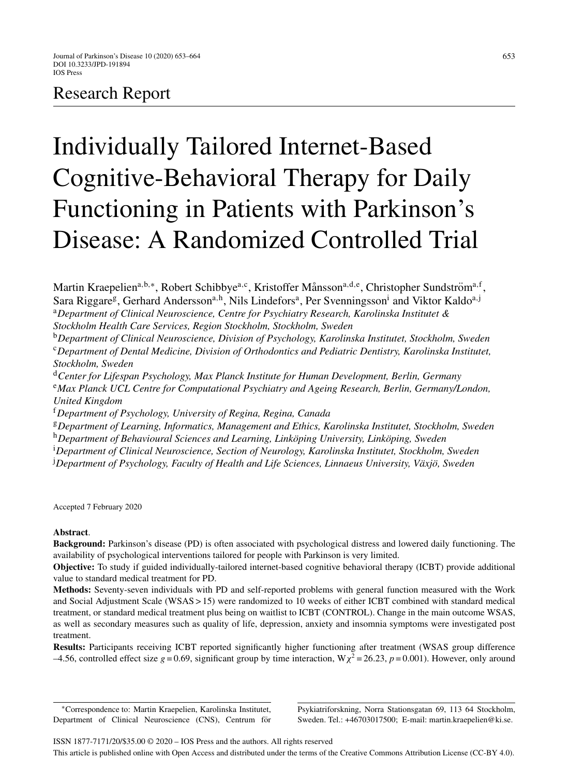# Research Report

# Individually Tailored Internet-Based Cognitive-Behavioral Therapy for Daily Functioning in Patients with Parkinson's Disease: A Randomized Controlled Trial

Martin Kraepelien<sup>a,b,∗</sup>, Robert Schibbye<sup>a,c</sup>, Kristoffer Månsson<sup>a,d,e</sup>, Christopher Sundström<sup>a,f</sup>, Sara Riggare<sup>g</sup>, Gerhard Andersson<sup>a,h</sup>, Nils Lindefors<sup>a</sup>, Per Svenningsson<sup>i</sup> and Viktor Kaldo<sup>a,j</sup>

<sup>a</sup>*Department of Clinical Neuroscience, Centre for Psychiatry Research, Karolinska Institutet & Stockholm Health Care Services, Region Stockholm, Stockholm, Sweden*

<sup>b</sup>*Department of Clinical Neuroscience, Division of Psychology, Karolinska Institutet, Stockholm, Sweden* <sup>c</sup>*Department of Dental Medicine, Division of Orthodontics and Pediatric Dentistry, Karolinska Institutet, Stockholm, Sweden*

<sup>d</sup>*Center for Lifespan Psychology, Max Planck Institute for Human Development, Berlin, Germany*

<sup>e</sup>*Max Planck UCL Centre for Computational Psychiatry and Ageing Research, Berlin, Germany/London, United Kingdom*

<sup>f</sup>*Department of Psychology, University of Regina, Regina, Canada*

<sup>g</sup>*Department of Learning, Informatics, Management and Ethics, Karolinska Institutet, Stockholm, Sweden*

<sup>h</sup>Department of Behavioural Sciences and Learning, Linköping University, Linköping, Sweden

i *Department of Clinical Neuroscience, Section of Neurology, Karolinska Institutet, Stockholm, Sweden*

<sup>j</sup>Department of Psychology, Faculty of Health and Life Sciences, Linnaeus University, Växjö, Sweden

Accepted 7 February 2020

# **Abstract**.

**Background:** Parkinson's disease (PD) is often associated with psychological distress and lowered daily functioning. The availability of psychological interventions tailored for people with Parkinson is very limited.

**Objective:** To study if guided individually-tailored internet-based cognitive behavioral therapy (ICBT) provide additional value to standard medical treatment for PD.

**Methods:** Seventy-seven individuals with PD and self-reported problems with general function measured with the Work and Social Adjustment Scale (WSAS > 15) were randomized to 10 weeks of either ICBT combined with standard medical treatment, or standard medical treatment plus being on waitlist to ICBT (CONTROL). Change in the main outcome WSAS, as well as secondary measures such as quality of life, depression, anxiety and insomnia symptoms were investigated post treatment.

**Results:** Participants receiving ICBT reported significantly higher functioning after treatment (WSAS group difference –4.56, controlled effect size  $g = 0.69$ , significant group by time interaction, W<sub>X</sub><sup>2</sup> = 26.23,  $p = 0.001$ ). However, only around

∗Correspondence to: Martin Kraepelien, Karolinska Institutet, Department of Clinical Neuroscience (CNS), Centrum för

Psykiatriforskning, Norra Stationsgatan 69, 113 64 Stockholm, Sweden. Tel.: +46703017500; E-mail: [martin.kraepelien@ki.se.](mailto:martin.kraepelien@ki.se)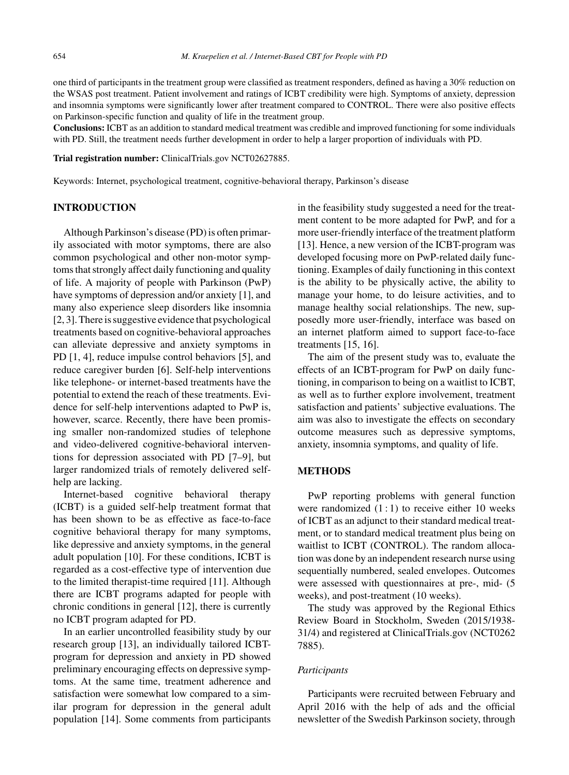one third of participants in the treatment group were classified as treatment responders, defined as having a 30% reduction on the WSAS post treatment. Patient involvement and ratings of ICBT credibility were high. Symptoms of anxiety, depression and insomnia symptoms were significantly lower after treatment compared to CONTROL. There were also positive effects on Parkinson-specific function and quality of life in the treatment group.

**Conclusions:** ICBT as an addition to standard medical treatment was credible and improved functioning for some individuals with PD. Still, the treatment needs further development in order to help a larger proportion of individuals with PD.

#### **Trial registration number:** ClinicalTrials.gov NCT02627885.

Keywords: Internet, psychological treatment, cognitive-behavioral therapy, Parkinson's disease

# **INTRODUCTION**

Although Parkinson's disease (PD) is often primarily associated with motor symptoms, there are also common psychological and other non-motor symptoms that strongly affect daily functioning and quality of life. A majority of people with Parkinson (PwP) have symptoms of depression and/or anxiety [1], and many also experience sleep disorders like insomnia [2, 3]. There is suggestive evidence that psychological treatments based on cognitive-behavioral approaches can alleviate depressive and anxiety symptoms in PD [1, 4], reduce impulse control behaviors [5], and reduce caregiver burden [6]. Self-help interventions like telephone- or internet-based treatments have the potential to extend the reach of these treatments. Evidence for self-help interventions adapted to PwP is, however, scarce. Recently, there have been promising smaller non-randomized studies of telephone and video-delivered cognitive-behavioral interventions for depression associated with PD [7–9], but larger randomized trials of remotely delivered selfhelp are lacking.

Internet-based cognitive behavioral therapy (ICBT) is a guided self-help treatment format that has been shown to be as effective as face-to-face cognitive behavioral therapy for many symptoms, like depressive and anxiety symptoms, in the general adult population [10]. For these conditions, ICBT is regarded as a cost-effective type of intervention due to the limited therapist-time required [11]. Although there are ICBT programs adapted for people with chronic conditions in general [12], there is currently no ICBT program adapted for PD.

In an earlier uncontrolled feasibility study by our research group [13], an individually tailored ICBTprogram for depression and anxiety in PD showed preliminary encouraging effects on depressive symptoms. At the same time, treatment adherence and satisfaction were somewhat low compared to a similar program for depression in the general adult population [14]. Some comments from participants

in the feasibility study suggested a need for the treatment content to be more adapted for PwP, and for a more user-friendly interface of the treatment platform [13]. Hence, a new version of the ICBT-program was developed focusing more on PwP-related daily functioning. Examples of daily functioning in this context is the ability to be physically active, the ability to manage your home, to do leisure activities, and to manage healthy social relationships. The new, supposedly more user-friendly, interface was based on an internet platform aimed to support face-to-face treatments [15, 16].

The aim of the present study was to, evaluate the effects of an ICBT-program for PwP on daily functioning, in comparison to being on a waitlist to ICBT, as well as to further explore involvement, treatment satisfaction and patients' subjective evaluations. The aim was also to investigate the effects on secondary outcome measures such as depressive symptoms, anxiety, insomnia symptoms, and quality of life.

# **METHODS**

PwP reporting problems with general function were randomized  $(1:1)$  to receive either 10 weeks of ICBT as an adjunct to their standard medical treatment, or to standard medical treatment plus being on waitlist to ICBT (CONTROL). The random allocation was done by an independent research nurse using sequentially numbered, sealed envelopes. Outcomes were assessed with questionnaires at pre-, mid- (5 weeks), and post-treatment (10 weeks).

The study was approved by the Regional Ethics Review Board in Stockholm, Sweden (2015/1938- 31/4) and registered at ClinicalTrials.gov (NCT0262 7885).

# *Participants*

Participants were recruited between February and April 2016 with the help of ads and the official newsletter of the Swedish Parkinson society, through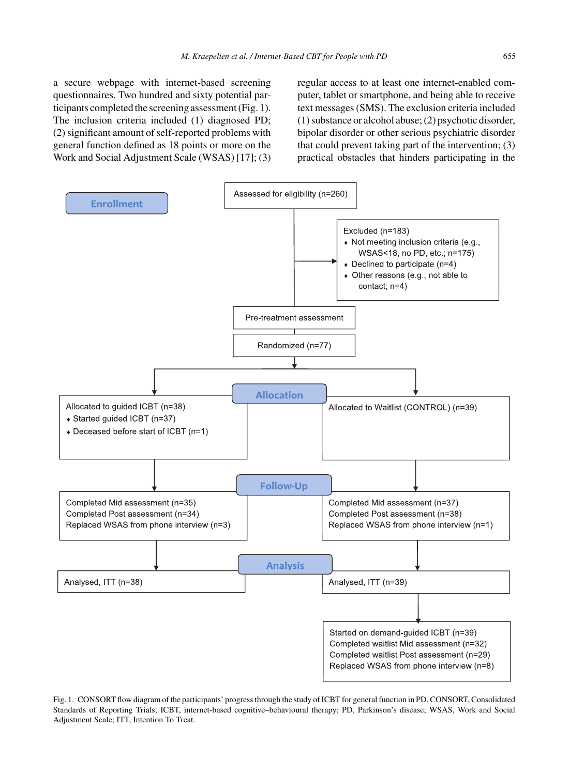a secure webpage with internet-based screening questionnaires. Two hundred and sixty potential participants completed the screening assessment (Fig. 1). The inclusion criteria included (1) diagnosed PD; (2) significant amount of self-reported problems with general function defined as 18 points or more on the Work and Social Adjustment Scale (WSAS) [17]; (3) regular access to at least one internet-enabled computer, tablet or smartphone, and being able to receive text messages (SMS). The exclusion criteria included (1) substance or alcohol abuse; (2) psychotic disorder, bipolar disorder or other serious psychiatric disorder that could prevent taking part of the intervention; (3) practical obstacles that hinders participating in the



Fig. 1. CONSORT flow diagram of the participants' progress through the study of ICBT for general function in PD. CONSORT, Consolidated Standards of Reporting Trials; ICBT, internet-based cognitive–behavioural therapy; PD, Parkinson's disease; WSAS, Work and Social Adjustment Scale; ITT, Intention To Treat.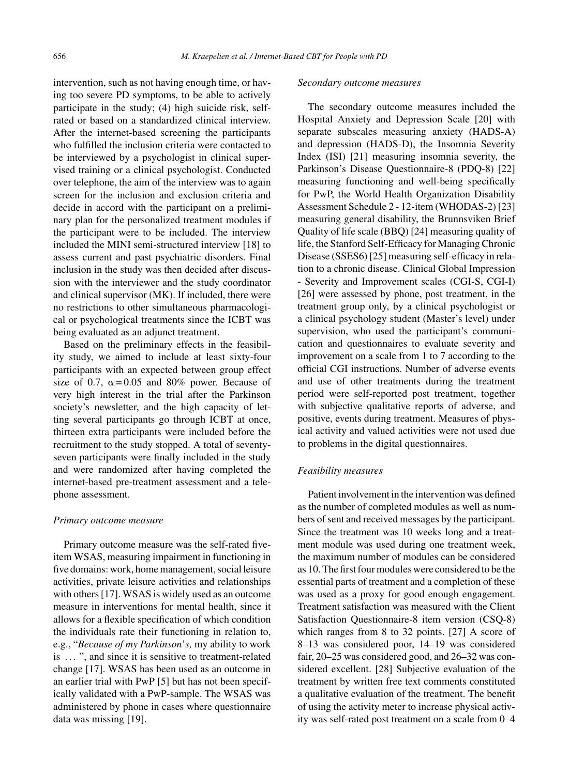intervention, such as not having enough time, or having too severe PD symptoms, to be able to actively participate in the study; (4) high suicide risk, selfrated or based on a standardized clinical interview. After the internet-based screening the participants who fulfilled the inclusion criteria were contacted to be interviewed by a psychologist in clinical supervised training or a clinical psychologist. Conducted over telephone, the aim of the interview was to again screen for the inclusion and exclusion criteria and decide in accord with the participant on a preliminary plan for the personalized treatment modules if the participant were to be included. The interview included the MINI semi-structured interview [18] to assess current and past psychiatric disorders. Final inclusion in the study was then decided after discussion with the interviewer and the study coordinator and clinical supervisor (MK). If included, there were no restrictions to other simultaneous pharmacological or psychological treatments since the ICBT was being evaluated as an adjunct treatment.

Based on the preliminary effects in the feasibility study, we aimed to include at least sixty-four participants with an expected between group effect size of 0.7,  $\alpha = 0.05$  and 80% power. Because of very high interest in the trial after the Parkinson society's newsletter, and the high capacity of letting several participants go through ICBT at once, thirteen extra participants were included before the recruitment to the study stopped. A total of seventyseven participants were finally included in the study and were randomized after having completed the internet-based pre-treatment assessment and a telephone assessment.

#### *Primary outcome measure*

Primary outcome measure was the self-rated fiveitem WSAS, measuring impairment in functioning in five domains: work, home management, social leisure activities, private leisure activities and relationships with others [17]. WSAS is widely used as an outcome measure in interventions for mental health, since it allows for a flexible specification of which condition the individuals rate their functioning in relation to, e.g., "*Because of my Parkinson*'*s,* my ability to work is ... ", and since it is sensitive to treatment-related change [17]. WSAS has been used as an outcome in an earlier trial with PwP [5] but has not been specifically validated with a PwP-sample. The WSAS was administered by phone in cases where questionnaire data was missing [19].

#### *Secondary outcome measures*

The secondary outcome measures included the Hospital Anxiety and Depression Scale [20] with separate subscales measuring anxiety (HADS-A) and depression (HADS-D), the Insomnia Severity Index (ISI) [21] measuring insomnia severity, the Parkinson's Disease Questionnaire-8 (PDQ-8) [22] measuring functioning and well-being specifically for PwP, the World Health Organization Disability Assessment Schedule 2 - 12-item (WHODAS-2) [23] measuring general disability, the Brunnsviken Brief Quality of life scale (BBQ) [24] measuring quality of life, the Stanford Self-Efficacy for Managing Chronic Disease (SSES6) [25] measuring self-efficacy in relation to a chronic disease. Clinical Global Impression - Severity and Improvement scales (CGI-S, CGI-I) [26] were assessed by phone, post treatment, in the treatment group only, by a clinical psychologist or a clinical psychology student (Master's level) under supervision, who used the participant's communication and questionnaires to evaluate severity and improvement on a scale from 1 to 7 according to the official CGI instructions. Number of adverse events and use of other treatments during the treatment period were self-reported post treatment, together with subjective qualitative reports of adverse, and positive, events during treatment. Measures of physical activity and valued activities were not used due to problems in the digital questionnaires.

# *Feasibility measures*

Patient involvement in the intervention was defined as the number of completed modules as well as numbers of sent and received messages by the participant. Since the treatment was 10 weeks long and a treatment module was used during one treatment week, the maximum number of modules can be considered as 10. The first four modules were considered to be the essential parts of treatment and a completion of these was used as a proxy for good enough engagement. Treatment satisfaction was measured with the Client Satisfaction Questionnaire-8 item version (CSQ-8) which ranges from 8 to 32 points. [27] A score of 8–13 was considered poor, 14–19 was considered fair, 20–25 was considered good, and 26–32 was considered excellent. [28] Subjective evaluation of the treatment by written free text comments constituted a qualitative evaluation of the treatment. The benefit of using the activity meter to increase physical activity was self-rated post treatment on a scale from 0–4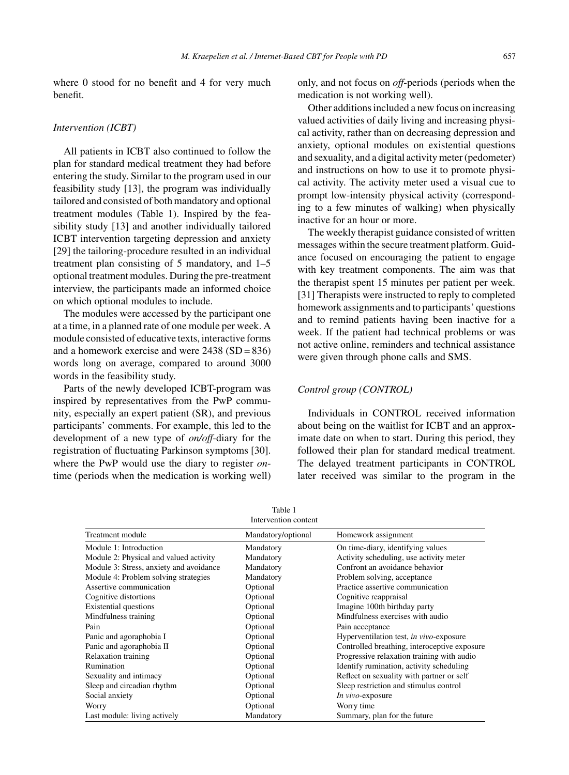where 0 stood for no benefit and 4 for very much benefit.

# *Intervention (ICBT)*

All patients in ICBT also continued to follow the plan for standard medical treatment they had before entering the study. Similar to the program used in our feasibility study [13], the program was individually tailored and consisted of both mandatory and optional treatment modules (Table 1). Inspired by the feasibility study [13] and another individually tailored ICBT intervention targeting depression and anxiety [29] the tailoring-procedure resulted in an individual treatment plan consisting of 5 mandatory, and 1–5 optional treatment modules. During the pre-treatment interview, the participants made an informed choice on which optional modules to include.

The modules were accessed by the participant one at a time, in a planned rate of one module per week. A module consisted of educative texts, interactive forms and a homework exercise and were  $2438$  (SD =  $836$ ) words long on average, compared to around 3000 words in the feasibility study.

Parts of the newly developed ICBT-program was inspired by representatives from the PwP community, especially an expert patient (SR), and previous participants' comments. For example, this led to the development of a new type of *on/off*-diary for the registration of fluctuating Parkinson symptoms [30]. where the PwP would use the diary to register *on*time (periods when the medication is working well)

only, and not focus on *off*-periods (periods when the medication is not working well).

Other additions included a new focus on increasing valued activities of daily living and increasing physical activity, rather than on decreasing depression and anxiety, optional modules on existential questions and sexuality, and a digital activity meter (pedometer) and instructions on how to use it to promote physical activity. The activity meter used a visual cue to prompt low-intensity physical activity (corresponding to a few minutes of walking) when physically inactive for an hour or more.

The weekly therapist guidance consisted of written messages within the secure treatment platform. Guidance focused on encouraging the patient to engage with key treatment components. The aim was that the therapist spent 15 minutes per patient per week. [31] Therapists were instructed to reply to completed homework assignments and to participants' questions and to remind patients having been inactive for a week. If the patient had technical problems or was not active online, reminders and technical assistance were given through phone calls and SMS.

# *Control group (CONTROL)*

Individuals in CONTROL received information about being on the waitlist for ICBT and an approximate date on when to start. During this period, they followed their plan for standard medical treatment. The delayed treatment participants in CONTROL later received was similar to the program in the

Table 1 Intervention content

| Treatment module                        | Mandatory/optional | Homework assignment                          |
|-----------------------------------------|--------------------|----------------------------------------------|
| Module 1: Introduction                  | Mandatory          | On time-diary, identifying values            |
| Module 2: Physical and valued activity  | Mandatory          | Activity scheduling, use activity meter      |
| Module 3: Stress, anxiety and avoidance | Mandatory          | Confront an avoidance behavior               |
| Module 4: Problem solving strategies    | Mandatory          | Problem solving, acceptance                  |
| Assertive communication                 | Optional           | Practice assertive communication             |
| Cognitive distortions                   | Optional           | Cognitive reappraisal                        |
| <b>Existential questions</b>            | Optional           | Imagine 100th birthday party                 |
| Mindfulness training                    | Optional           | Mindfulness exercises with audio             |
| Pain                                    | Optional           | Pain acceptance                              |
| Panic and agoraphobia I                 | Optional           | Hyperventilation test, in vivo-exposure      |
| Panic and agoraphobia II                | Optional           | Controlled breathing, interoceptive exposure |
| Relaxation training                     | Optional           | Progressive relaxation training with audio   |
| Rumination                              | Optional           | Identify rumination, activity scheduling     |
| Sexuality and intimacy                  | Optional           | Reflect on sexuality with partner or self    |
| Sleep and circadian rhythm              | Optional           | Sleep restriction and stimulus control       |
| Social anxiety                          | Optional           | In vivo-exposure                             |
| Worry                                   | Optional           | Worry time                                   |
| Last module: living actively            | Mandatory          | Summary, plan for the future                 |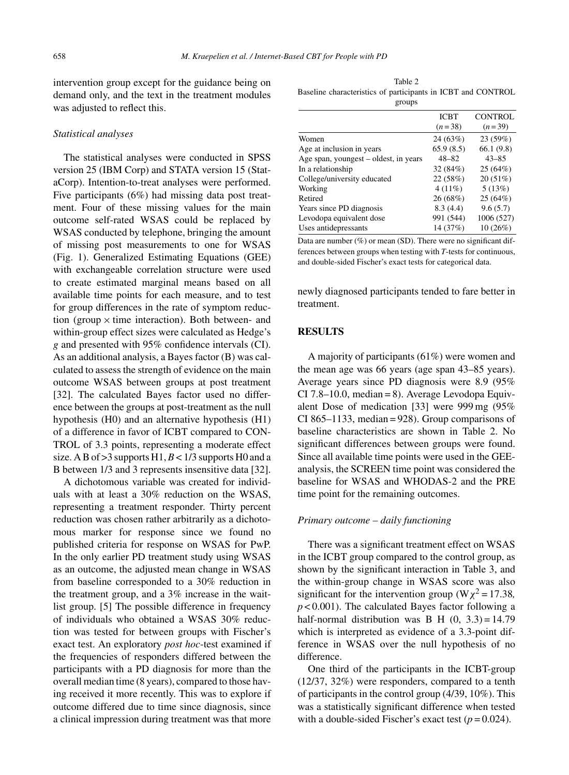intervention group except for the guidance being on demand only, and the text in the treatment modules was adjusted to reflect this.

### *Statistical analyses*

The statistical analyses were conducted in SPSS version 25 (IBM Corp) and STATA version 15 (StataCorp). Intention-to-treat analyses were performed. Five participants (6%) had missing data post treatment. Four of these missing values for the main outcome self-rated WSAS could be replaced by WSAS conducted by telephone, bringing the amount of missing post measurements to one for WSAS (Fig. 1). Generalized Estimating Equations (GEE) with exchangeable correlation structure were used to create estimated marginal means based on all available time points for each measure, and to test for group differences in the rate of symptom reduction (group  $\times$  time interaction). Both between- and within-group effect sizes were calculated as Hedge's *g* and presented with 95% confidence intervals (CI). As an additional analysis, a Bayes factor (B) was calculated to assess the strength of evidence on the main outcome WSAS between groups at post treatment [32]. The calculated Bayes factor used no difference between the groups at post-treatment as the null hypothesis (H0) and an alternative hypothesis (H1) of a difference in favor of ICBT compared to CON-TROL of 3.3 points, representing a moderate effect size. A B of  $>$ 3 supports H1,  $B$  < 1/3 supports H0 and a B between 1/3 and 3 represents insensitive data [32].

A dichotomous variable was created for individuals with at least a 30% reduction on the WSAS, representing a treatment responder. Thirty percent reduction was chosen rather arbitrarily as a dichotomous marker for response since we found no published criteria for response on WSAS for PwP. In the only earlier PD treatment study using WSAS as an outcome, the adjusted mean change in WSAS from baseline corresponded to a 30% reduction in the treatment group, and a 3% increase in the waitlist group. [5] The possible difference in frequency of individuals who obtained a WSAS 30% reduction was tested for between groups with Fischer's exact test. An exploratory *post hoc*-test examined if the frequencies of responders differed between the participants with a PD diagnosis for more than the overall median time (8 years), compared to those having received it more recently. This was to explore if outcome differed due to time since diagnosis, since a clinical impression during treatment was that more

Table 2 Baseline characteristics of participants in ICBT and CONTROL groups

|                                       | <b>ICBT</b> | <b>CONTROL</b> |
|---------------------------------------|-------------|----------------|
|                                       | $(n=38)$    | $(n=39)$       |
| Women                                 | 24(63%)     | 23 (59%)       |
| Age at inclusion in years             | 65.9(8.5)   | 66.1(9.8)      |
| Age span, youngest – oldest, in years | $48 - 82$   | $43 - 85$      |
| In a relationship                     | 32 (84%)    | 25 (64%)       |
| College/university educated           | 22 (58%)    | 20(51%)        |
| Working                               | $4(11\%)$   | 5(13%)         |
| Retired                               | 26(68%)     | 25(64%)        |
| Years since PD diagnosis              | 8.3(4.4)    | 9.6(5.7)       |
| Levodopa equivalent dose              | 991 (544)   | 1006 (527)     |
| Uses antidepressants                  | 14 (37%)    | 10 (26%)       |

Data are number (%) or mean (SD). There were no significant differences between groups when testing with *T*-tests for continuous, and double-sided Fischer's exact tests for categorical data.

newly diagnosed participants tended to fare better in treatment.

# **RESULTS**

A majority of participants (61%) were women and the mean age was 66 years (age span 43–85 years). Average years since PD diagnosis were 8.9 (95%  $CI$  7.8–10.0, median = 8). Average Levodopa Equivalent Dose of medication [33] were 999 mg (95% CI 865–1133, median =  $928$ ). Group comparisons of baseline characteristics are shown in Table 2. No significant differences between groups were found. Since all available time points were used in the GEEanalysis, the SCREEN time point was considered the baseline for WSAS and WHODAS-2 and the PRE time point for the remaining outcomes.

# *Primary outcome – daily functioning*

There was a significant treatment effect on WSAS in the ICBT group compared to the control group, as shown by the significant interaction in Table 3, and the within-group change in WSAS score was also significant for the intervention group ( $W\chi^2 = 17.38$ ,  $p < 0.001$ ). The calculated Bayes factor following a half-normal distribution was B H  $(0, 3.3) = 14.79$ which is interpreted as evidence of a 3.3-point difference in WSAS over the null hypothesis of no difference.

One third of the participants in the ICBT-group (12/37, 32%) were responders, compared to a tenth of participants in the control group (4/39, 10%). This was a statistically significant difference when tested with a double-sided Fischer's exact test  $(p=0.024)$ .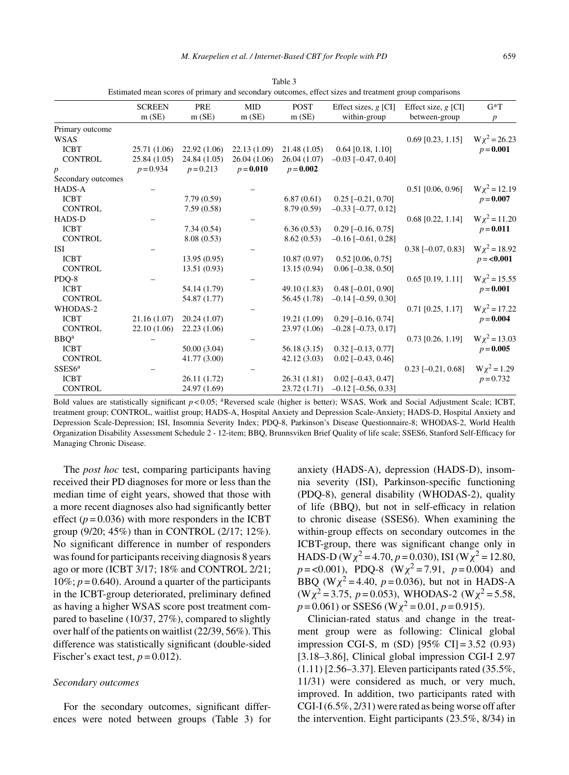|                    | <b>SCREEN</b> | PRE          | <b>MID</b>  | <b>POST</b>  | Effect sizes, $g$ [CI]      | Effect size, $g$ [CI]       | $G^*T$            |
|--------------------|---------------|--------------|-------------|--------------|-----------------------------|-----------------------------|-------------------|
|                    | m(SE)         | m(SE)        | m(SE)       | m(SE)        | within-group                | between-group               | $\boldsymbol{p}$  |
| Primary outcome    |               |              |             |              |                             |                             |                   |
| <b>WSAS</b>        |               |              |             |              |                             | $0.69$ [0.23, 1.15]         | $W\chi^2 = 26.23$ |
| <b>ICBT</b>        | 25.71 (1.06)  | 22.92(1.06)  | 22.13(1.09) | 21.48(1.05)  | $0.64$ [0.18, 1.10]         |                             | $p = 0.001$       |
| <b>CONTROL</b>     | 25.84(1.05)   | 24.84 (1.05) | 26.04(1.06) | 26.04(1.07)  | $-0.03$ [ $-0.47$ , 0.40]   |                             |                   |
| $\boldsymbol{p}$   | $p = 0.934$   | $p = 0.213$  | $p = 0.010$ | $p = 0.002$  |                             |                             |                   |
| Secondary outcomes |               |              |             |              |                             |                             |                   |
| HADS-A             |               |              |             |              |                             | $0.51$ [0.06, 0.96]         | $W\chi^2 = 12.19$ |
| <b>ICBT</b>        |               | 7.79(0.59)   |             | 6.87(0.61)   | $0.25$ [-0.21, 0.70]        |                             | $p = 0.007$       |
| <b>CONTROL</b>     |               | 7.59(0.58)   |             | 8.79 (0.59)  | $-0.33$ [ $-0.77$ , 0.12]   |                             |                   |
| <b>HADS-D</b>      |               |              |             |              |                             | $0.68$ [0.22, 1.14]         | $W\chi^2 = 11.20$ |
| <b>ICBT</b>        |               | 7.34(0.54)   |             | 6.36(0.53)   | $0.29$ [-0.16, 0.75]        |                             | $p = 0.011$       |
| <b>CONTROL</b>     |               | 8.08(0.53)   |             | 8.62(0.53)   | $-0.16$ [ $-0.61$ , 0.28]   |                             |                   |
| ISI                |               |              |             |              |                             | $0.38$ [ $-0.07$ , $0.83$ ] | $W\chi^2 = 18.92$ |
| <b>ICBT</b>        |               | 13.95(0.95)  |             | 10.87(0.97)  | $0.52$ [0.06, 0.75]         |                             | $p = 0.001$       |
| <b>CONTROL</b>     |               | 13.51(0.93)  |             | 13.15(0.94)  | $0.06$ [ $-0.38$ , $0.50$ ] |                             |                   |
| PDQ-8              |               |              |             |              |                             | $0.65$ $[0.19, 1.11]$       | $W\chi^2 = 15.55$ |
| <b>ICBT</b>        |               | 54.14 (1.79) |             | 49.10 (1.83) | $0.48$ [ $-0.01$ , $0.90$ ] |                             | $p = 0.001$       |
| <b>CONTROL</b>     |               | 54.87 (1.77) |             | 56.45 (1.78) | $-0.14$ [ $-0.59$ , 0.30]   |                             |                   |
| WHODAS-2           |               |              |             |              |                             | $0.71$ [0.25, 1.17]         | $W\chi^2 = 17.22$ |
| <b>ICBT</b>        | 21.16(1.07)   | 20.24(1.07)  |             | 19.21 (1.09) | $0.29$ [-0.16, 0.74]        |                             | $p = 0.004$       |
| <b>CONTROL</b>     | 22.10(1.06)   | 22.23(1.06)  |             | 23.97 (1.06) | $-0.28$ [ $-0.73$ , 0.17]   |                             |                   |
| BBO <sup>a</sup>   |               |              |             |              |                             | $0.73$ [0.26, 1.19]         | $W\chi^2 = 13.03$ |
| <b>ICBT</b>        |               | 50.00 (3.04) |             | 56.18(3.15)  | $0.32$ [-0.13, 0.77]        |                             | $p = 0.005$       |
| <b>CONTROL</b>     |               | 41.77 (3.00) |             | 42.12 (3.03) | $0.02$ [-0.43, 0.46]        |                             |                   |
| SSES6 <sup>a</sup> |               |              |             |              |                             | $0.23$ [-0.21, 0.68]        | $W\chi^2 = 1.29$  |
| <b>ICBT</b>        |               | 26.11 (1.72) |             | 26.31(1.81)  | $0.02$ [-0.43, 0.47]        |                             | $p = 0.732$       |
| <b>CONTROL</b>     |               | 24.97 (1.69) |             | 23.72(1.71)  | $-0.12$ [ $-0.56$ , 0.33]   |                             |                   |

Table 3 Estimated mean scores of primary and secondary outcomes, effect sizes and treatment group comparisons

Bold values are statistically significant  $p < 0.05$ ; <sup>a</sup>Reversed scale (higher is better); WSAS, Work and Social Adjustment Scale; ICBT, treatment group; CONTROL, waitlist group; HADS-A, Hospital Anxiety and Depression Scale-Anxiety; HADS-D, Hospital Anxiety and Depression Scale-Depression; ISI, Insomnia Severity Index; PDQ-8, Parkinson's Disease Questionnaire-8; WHODAS-2, World Health Organization Disability Assessment Schedule 2 - 12-item; BBQ, Brunnsviken Brief Quality of life scale; SSES6, Stanford Self-Efficacy for Managing Chronic Disease.

The *post hoc* test, comparing participants having received their PD diagnoses for more or less than the median time of eight years, showed that those with a more recent diagnoses also had significantly better effect  $(p = 0.036)$  with more responders in the ICBT group (9/20; 45%) than in CONTROL (2/17; 12%). No significant difference in number of responders was found for participants receiving diagnosis 8 years ago or more (ICBT 3/17; 18% and CONTROL 2/21;  $10\%$ ;  $p = 0.640$ ). Around a quarter of the participants in the ICBT-group deteriorated, preliminary defined as having a higher WSAS score post treatment compared to baseline (10/37, 27%), compared to slightly over half of the patients on waitlist (22/39, 56%). This difference was statistically significant (double-sided Fischer's exact test,  $p = 0.012$ ).

# *Secondary outcomes*

For the secondary outcomes, significant differences were noted between groups (Table 3) for

anxiety (HADS-A), depression (HADS-D), insomnia severity (ISI), Parkinson-specific functioning (PDQ-8), general disability (WHODAS-2), quality of life (BBQ), but not in self-efficacy in relation to chronic disease (SSES6). When examining the within-group effects on secondary outcomes in the ICBT-group, there was significant change only in HADS-D (W $\chi^2$  = 4.70, *p* = 0.030), ISI (W $\chi^2$  = 12.80,  $p = 0.001$ , PDQ-8 (W<sub>X</sub><sup>2</sup> = 7.91,  $p = 0.004$ ) and BBQ ( $W\chi^2$  = 4.40, *p* = 0.036), but not in HADS-A  $(W\chi^2 = 3.75, p = 0.053)$ , WHODAS-2  $(W\chi^2 = 5.58,$  $p = 0.061$ ) or SSES6 (W $\chi^2 = 0.01$ ,  $p = 0.915$ ).

Clinician-rated status and change in the treatment group were as following: Clinical global impression CGI-S, m (SD) [95% CI] = 3.52 (0.93) [3.18–3.86], Clinical global impression CGI-I 2.97 (1.11) [2.56–3.37]. Eleven participants rated (35.5%, 11/31) were considered as much, or very much, improved. In addition, two participants rated with CGI-I (6.5%, 2/31) were rated as being worse off after the intervention. Eight participants (23.5%, 8/34) in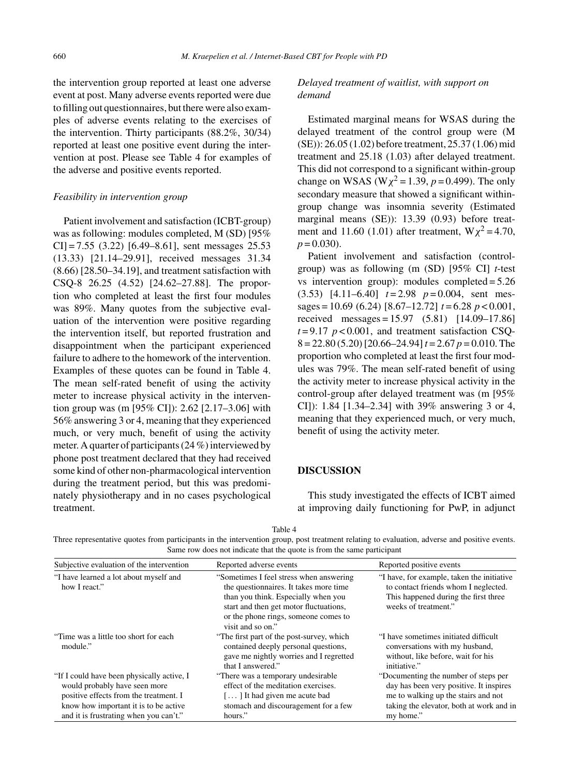the intervention group reported at least one adverse event at post. Many adverse events reported were due to filling out questionnaires, but there were also examples of adverse events relating to the exercises of the intervention. Thirty participants (88.2%, 30/34) reported at least one positive event during the intervention at post. Please see Table 4 for examples of the adverse and positive events reported.

# *Feasibility in intervention group*

Patient involvement and satisfaction (ICBT-group) was as following: modules completed, M (SD) [95% CI] = 7.55 (3.22) [6.49–8.61], sent messages 25.53 (13.33) [21.14–29.91], received messages 31.34 (8.66) [28.50–34.19], and treatment satisfaction with CSQ-8 26.25 (4.52) [24.62–27.88]. The proportion who completed at least the first four modules was 89%. Many quotes from the subjective evaluation of the intervention were positive regarding the intervention itself, but reported frustration and disappointment when the participant experienced failure to adhere to the homework of the intervention. Examples of these quotes can be found in Table 4. The mean self-rated benefit of using the activity meter to increase physical activity in the intervention group was (m [95% CI]): 2.62 [2.17–3.06] with 56% answering 3 or 4, meaning that they experienced much, or very much, benefit of using the activity meter. A quarter of participants (24 %) interviewed by phone post treatment declared that they had received some kind of other non-pharmacological intervention during the treatment period, but this was predominately physiotherapy and in no cases psychological treatment.

# *Delayed treatment of waitlist, with support on demand*

Estimated marginal means for WSAS during the delayed treatment of the control group were (M (SE)): 26.05 (1.02) before treatment, 25.37 (1.06) mid treatment and 25.18 (1.03) after delayed treatment. This did not correspond to a significant within-group change on WSAS (W $\chi^2$  = 1.39, *p* = 0.499). The only secondary measure that showed a significant withingroup change was insomnia severity (Estimated marginal means (SE)): 13.39 (0.93) before treatment and 11.60 (1.01) after treatment,  $W\chi^2 = 4.70$ ,  $p = 0.030$ .

Patient involvement and satisfaction (controlgroup) was as following (m (SD) [95% CI] *t*-test vs intervention group): modules completed = 5.26  $(3.53)$  [4.11–6.40]  $t=2.98$   $p=0.004$ , sent messages = 10.69 (6.24) [8.67–12.72] *t* = 6.28 *p* < 0.001, received messages = 15.97 (5.81) [14.09–17.86]  $t = 9.17$   $p < 0.001$ , and treatment satisfaction CSQ-8 = 22.80 (5.20) [20.66–24.94]*t* = 2.67 *p* = 0.010. The proportion who completed at least the first four modules was 79%. The mean self-rated benefit of using the activity meter to increase physical activity in the control-group after delayed treatment was (m [95% CI]): 1.84 [1.34–2.34] with 39% answering 3 or 4, meaning that they experienced much, or very much, benefit of using the activity meter.

# **DISCUSSION**

This study investigated the effects of ICBT aimed at improving daily functioning for PwP, in adjunct

Table 4

Three representative quotes from participants in the intervention group, post treatment relating to evaluation, adverse and positive events. Same row does not indicate that the quote is from the same participant

| Subjective evaluation of the intervention                                                                                                                                                                | Reported adverse events                                                                                                                                                                                                         | Reported positive events                                                                                                                                                        |
|----------------------------------------------------------------------------------------------------------------------------------------------------------------------------------------------------------|---------------------------------------------------------------------------------------------------------------------------------------------------------------------------------------------------------------------------------|---------------------------------------------------------------------------------------------------------------------------------------------------------------------------------|
| "I have learned a lot about myself and<br>how I react."                                                                                                                                                  | "Sometimes I feel stress when answering<br>the questionnaires. It takes more time<br>than you think. Especially when you<br>start and then get motor fluctuations,<br>or the phone rings, someone comes to<br>visit and so on." | "I have, for example, taken the initiative<br>to contact friends whom I neglected.<br>This happened during the first three<br>weeks of treatment."                              |
| "Time was a little too short for each"<br>module."                                                                                                                                                       | "The first part of the post-survey, which<br>contained deeply personal questions,<br>gave me nightly worries and I regretted<br>that I answered."                                                                               | "I have sometimes initiated difficult<br>conversations with my husband,<br>without, like before, wait for his<br>initiative."                                                   |
| "If I could have been physically active, I<br>would probably have seen more<br>positive effects from the treatment. I<br>know how important it is to be active<br>and it is frustrating when you can't." | "There was a temporary undesirable"<br>effect of the meditation exercises.<br>[] It had given me acute bad<br>stomach and discouragement for a few<br>hours."                                                                   | "Documenting the number of steps per<br>day has been very positive. It inspires<br>me to walking up the stairs and not<br>taking the elevator, both at work and in<br>my home." |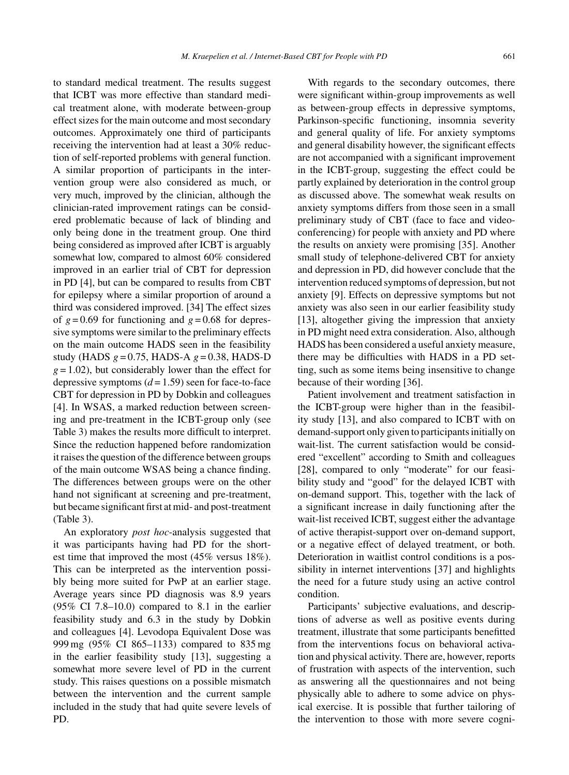to standard medical treatment. The results suggest that ICBT was more effective than standard medical treatment alone, with moderate between-group effect sizes for the main outcome and most secondary outcomes. Approximately one third of participants receiving the intervention had at least a 30% reduction of self-reported problems with general function. A similar proportion of participants in the intervention group were also considered as much, or very much, improved by the clinician, although the clinician-rated improvement ratings can be considered problematic because of lack of blinding and only being done in the treatment group. One third being considered as improved after ICBT is arguably somewhat low, compared to almost 60% considered improved in an earlier trial of CBT for depression in PD [4], but can be compared to results from CBT for epilepsy where a similar proportion of around a third was considered improved. [34] The effect sizes of  $g = 0.69$  for functioning and  $g = 0.68$  for depressive symptoms were similar to the preliminary effects on the main outcome HADS seen in the feasibility study (HADS *g* = 0.75, HADS-A *g* = 0.38, HADS-D  $g = 1.02$ ), but considerably lower than the effect for depressive symptoms  $(d=1.59)$  seen for face-to-face CBT for depression in PD by Dobkin and colleagues [4]. In WSAS, a marked reduction between screening and pre-treatment in the ICBT-group only (see Table 3) makes the results more difficult to interpret. Since the reduction happened before randomization it raises the question of the difference between groups of the main outcome WSAS being a chance finding. The differences between groups were on the other hand not significant at screening and pre-treatment, but became significant first at mid- and post-treatment (Table 3).

An exploratory *post hoc*-analysis suggested that it was participants having had PD for the shortest time that improved the most (45% versus 18%). This can be interpreted as the intervention possibly being more suited for PwP at an earlier stage. Average years since PD diagnosis was 8.9 years  $(95\% \text{ CI } 7.8-10.0)$  compared to 8.1 in the earlier feasibility study and 6.3 in the study by Dobkin and colleagues [4]. Levodopa Equivalent Dose was 999 mg (95% CI 865–1133) compared to 835 mg in the earlier feasibility study [13], suggesting a somewhat more severe level of PD in the current study. This raises questions on a possible mismatch between the intervention and the current sample included in the study that had quite severe levels of PD.

With regards to the secondary outcomes, there were significant within-group improvements as well as between-group effects in depressive symptoms, Parkinson-specific functioning, insomnia severity and general quality of life. For anxiety symptoms and general disability however, the significant effects are not accompanied with a significant improvement in the ICBT-group, suggesting the effect could be partly explained by deterioration in the control group as discussed above. The somewhat weak results on anxiety symptoms differs from those seen in a small preliminary study of CBT (face to face and videoconferencing) for people with anxiety and PD where the results on anxiety were promising [35]. Another small study of telephone-delivered CBT for anxiety and depression in PD, did however conclude that the intervention reduced symptoms of depression, but not anxiety [9]. Effects on depressive symptoms but not anxiety was also seen in our earlier feasibility study [13], altogether giving the impression that anxiety in PD might need extra consideration. Also, although HADS has been considered a useful anxiety measure, there may be difficulties with HADS in a PD setting, such as some items being insensitive to change because of their wording [36].

Patient involvement and treatment satisfaction in the ICBT-group were higher than in the feasibility study [13], and also compared to ICBT with on demand-support only given to participants initially on wait-list. The current satisfaction would be considered "excellent" according to Smith and colleagues [28], compared to only "moderate" for our feasibility study and "good" for the delayed ICBT with on-demand support. This, together with the lack of a significant increase in daily functioning after the wait-list received ICBT, suggest either the advantage of active therapist-support over on-demand support, or a negative effect of delayed treatment, or both. Deterioration in waitlist control conditions is a possibility in internet interventions [37] and highlights the need for a future study using an active control condition.

Participants' subjective evaluations, and descriptions of adverse as well as positive events during treatment, illustrate that some participants benefitted from the interventions focus on behavioral activation and physical activity. There are, however, reports of frustration with aspects of the intervention, such as answering all the questionnaires and not being physically able to adhere to some advice on physical exercise. It is possible that further tailoring of the intervention to those with more severe cogni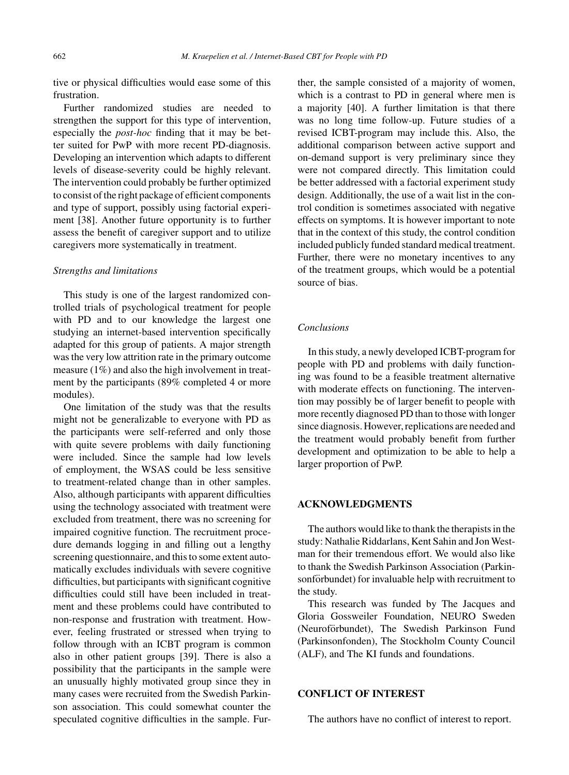tive or physical difficulties would ease some of this frustration.

Further randomized studies are needed to strengthen the support for this type of intervention, especially the *post-hoc* finding that it may be better suited for PwP with more recent PD-diagnosis. Developing an intervention which adapts to different levels of disease-severity could be highly relevant. The intervention could probably be further optimized to consist of the right package of efficient components and type of support, possibly using factorial experiment [38]. Another future opportunity is to further assess the benefit of caregiver support and to utilize caregivers more systematically in treatment.

# *Strengths and limitations*

This study is one of the largest randomized controlled trials of psychological treatment for people with PD and to our knowledge the largest one studying an internet-based intervention specifically adapted for this group of patients. A major strength was the very low attrition rate in the primary outcome measure (1%) and also the high involvement in treatment by the participants (89% completed 4 or more modules).

One limitation of the study was that the results might not be generalizable to everyone with PD as the participants were self-referred and only those with quite severe problems with daily functioning were included. Since the sample had low levels of employment, the WSAS could be less sensitive to treatment-related change than in other samples. Also, although participants with apparent difficulties using the technology associated with treatment were excluded from treatment, there was no screening for impaired cognitive function. The recruitment procedure demands logging in and filling out a lengthy screening questionnaire, and this to some extent automatically excludes individuals with severe cognitive difficulties, but participants with significant cognitive difficulties could still have been included in treatment and these problems could have contributed to non-response and frustration with treatment. However, feeling frustrated or stressed when trying to follow through with an ICBT program is common also in other patient groups [39]. There is also a possibility that the participants in the sample were an unusually highly motivated group since they in many cases were recruited from the Swedish Parkinson association. This could somewhat counter the speculated cognitive difficulties in the sample. Further, the sample consisted of a majority of women, which is a contrast to PD in general where men is a majority [40]. A further limitation is that there was no long time follow-up. Future studies of a revised ICBT-program may include this. Also, the additional comparison between active support and on-demand support is very preliminary since they were not compared directly. This limitation could be better addressed with a factorial experiment study design. Additionally, the use of a wait list in the control condition is sometimes associated with negative effects on symptoms. It is however important to note that in the context of this study, the control condition included publicly funded standard medical treatment. Further, there were no monetary incentives to any of the treatment groups, which would be a potential source of bias.

# *Conclusions*

In this study, a newly developed ICBT-program for people with PD and problems with daily functioning was found to be a feasible treatment alternative with moderate effects on functioning. The intervention may possibly be of larger benefit to people with more recently diagnosed PD than to those with longer since diagnosis. However, replications are needed and the treatment would probably benefit from further development and optimization to be able to help a larger proportion of PwP.

# **ACKNOWLEDGMENTS**

The authors would like to thank the therapists in the study: Nathalie Riddarlans, Kent Sahin and Jon Westman for their tremendous effort. We would also like to thank the Swedish Parkinson Association (Parkinsonförbundet) for invaluable help with recruitment to the study.

This research was funded by The Jacques and Gloria Gossweiler Foundation, NEURO Sweden (Neuroförbundet), The Swedish Parkinson Fund (Parkinsonfonden), The Stockholm County Council (ALF), and The KI funds and foundations.

# **CONFLICT OF INTEREST**

The authors have no conflict of interest to report.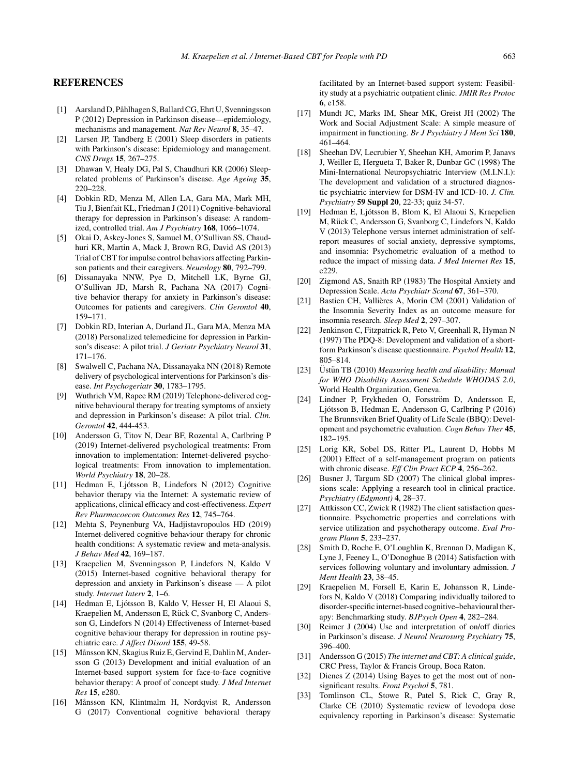# **REFERENCES**

- [1] Aarsland D, Påhlhagen S, Ballard CG, Ehrt U, Svenningsson P (2012) Depression in Parkinson disease—epidemiology, mechanisms and management. *Nat Rev Neurol* **8**, 35–47.
- [2] Larsen JP, Tandberg E (2001) Sleep disorders in patients with Parkinson's disease: Epidemiology and management. *CNS Drugs* **15**, 267–275.
- [3] Dhawan V, Healy DG, Pal S, Chaudhuri KR (2006) Sleeprelated problems of Parkinson's disease. *Age Ageing* **35**, 220–228.
- [4] Dobkin RD, Menza M, Allen LA, Gara MA, Mark MH, Tiu J, Bienfait KL, Friedman J (2011) Cognitive-behavioral therapy for depression in Parkinson's disease: A randomized, controlled trial. *Am J Psychiatry* **168**, 1066–1074.
- [5] Okai D, Askey-Jones S, Samuel M, O'Sullivan SS, Chaudhuri KR, Martin A, Mack J, Brown RG, David AS (2013) Trial of CBT for impulse control behaviors affecting Parkinson patients and their caregivers. *Neurology* **80**, 792–799.
- [6] Dissanayaka NNW, Pye D, Mitchell LK, Byrne GJ, O'Sullivan JD, Marsh R, Pachana NA (2017) Cognitive behavior therapy for anxiety in Parkinson's disease: Outcomes for patients and caregivers. *Clin Gerontol* **40**, 159–171.
- [7] Dobkin RD, Interian A, Durland JL, Gara MA, Menza MA (2018) Personalized telemedicine for depression in Parkinson's disease: A pilot trial. *J Geriatr Psychiatry Neurol* **31**, 171–176.
- [8] Swalwell C, Pachana NA, Dissanayaka NN (2018) Remote delivery of psychological interventions for Parkinson's disease. *Int Psychogeriatr* **30**, 1783–1795.
- [9] Wuthrich VM, Rapee RM (2019) Telephone-delivered cognitive behavioural therapy for treating symptoms of anxiety and depression in Parkinson's disease: A pilot trial. *Clin. Gerontol* **42**, 444-453.
- [10] Andersson G, Titov N, Dear BF, Rozental A, Carlbring P (2019) Internet-delivered psychological treatments: From innovation to implementation: Internet-delivered psychological treatments: From innovation to implementation. *World Psychiatry* **18**, 20–28.
- [11] Hedman E, Ljótsson B, Lindefors N (2012) Cognitive behavior therapy via the Internet: A systematic review of applications, clinical efficacy and cost-effectiveness. *Expert Rev Pharmacoecon Outcomes Res* **12**, 745–764.
- [12] Mehta S, Peynenburg VA, Hadjistavropoulos HD (2019) Internet-delivered cognitive behaviour therapy for chronic health conditions: A systematic review and meta-analysis. *J Behav Med* **42**, 169–187.
- [13] Kraepelien M, Svenningsson P, Lindefors N, Kaldo V (2015) Internet-based cognitive behavioral therapy for depression and anxiety in Parkinson's disease — A pilot study. *Internet Interv* **2**, 1–6.
- [14] Hedman E, Ljótsson B, Kaldo V, Hesser H, El Alaoui S, Kraepelien M, Andersson E, Rück C, Svanborg C, Andersson G, Lindefors N (2014) Effectiveness of Internet-based cognitive behaviour therapy for depression in routine psychiatric care. *J Affect Disord* **155**, 49-58.
- [15] Månsson KN, Skagius Ruiz E, Gervind E, Dahlin M, Andersson G (2013) Development and initial evaluation of an Internet-based support system for face-to-face cognitive behavior therapy: A proof of concept study. *J Med Internet Res* **15**, e280.
- [16] Månsson KN, Klintmalm H, Nordqvist R, Andersson G (2017) Conventional cognitive behavioral therapy

facilitated by an Internet-based support system: Feasibility study at a psychiatric outpatient clinic. *JMIR Res Protoc* **6**, e158.

- [17] Mundt JC, Marks IM, Shear MK, Greist JH (2002) The Work and Social Adjustment Scale: A simple measure of impairment in functioning. *Br J Psychiatry J Ment Sci* **180**, 461–464.
- [18] Sheehan DV, Lecrubier Y, Sheehan KH, Amorim P, Janavs J, Weiller E, Hergueta T, Baker R, Dunbar GC (1998) The Mini-International Neuropsychiatric Interview (M.I.N.I.): The development and validation of a structured diagnostic psychiatric interview for DSM-IV and ICD-10. *J. Clin. Psychiatry* **59 Suppl 20**, 22-33; quiz 34-57.
- [19] Hedman E, Ljótsson B, Blom K, El Alaoui S, Kraepelien M, Rück C, Andersson G, Svanborg C, Lindefors N, Kaldo V (2013) Telephone versus internet administration of selfreport measures of social anxiety, depressive symptoms, and insomnia: Psychometric evaluation of a method to reduce the impact of missing data. *J Med Internet Res* **15**, e229.
- [20] Zigmond AS, Snaith RP (1983) The Hospital Anxiety and Depression Scale. *Acta Psychiatr Scand* **67**, 361–370.
- [21] Bastien CH, Vallières A, Morin CM (2001) Validation of the Insomnia Severity Index as an outcome measure for insomnia research. *Sleep Med* **2**, 297–307.
- [22] Jenkinson C, Fitzpatrick R, Peto V, Greenhall R, Hyman N (1997) The PDQ-8: Development and validation of a shortform Parkinson's disease questionnaire. *Psychol Health* **12**, 805–814.
- [23] Üstün TB (2010) Measuring health and disability: Manual *for WHO Disability Assessment Schedule WHODAS 2.0*, World Health Organization, Geneva.
- [24] Lindner P, Frykheden O, Forsström D, Andersson E, Ljótsson B, Hedman E, Andersson G, Carlbring P (2016) The Brunnsviken Brief Quality of Life Scale (BBQ): Development and psychometric evaluation. *Cogn Behav Ther* **45**, 182–195.
- [25] Lorig KR, Sobel DS, Ritter PL, Laurent D, Hobbs M (2001) Effect of a self-management program on patients with chronic disease. *Eff Clin Pract ECP* **4**, 256–262.
- [26] Busner J, Targum SD (2007) The clinical global impressions scale: Applying a research tool in clinical practice. *Psychiatry (Edgmont)* **4**, 28–37.
- [27] Attkisson CC, Zwick R (1982) The client satisfaction questionnaire. Psychometric properties and correlations with service utilization and psychotherapy outcome. *Eval Program Plann* **5**, 233–237.
- [28] Smith D, Roche E, O'Loughlin K, Brennan D, Madigan K, Lyne J, Feeney L, O'Donoghue B (2014) Satisfaction with services following voluntary and involuntary admission. *J Ment Health* **23**, 38–45.
- [29] Kraepelien M, Forsell E, Karin E, Johansson R, Lindefors N, Kaldo V (2018) Comparing individually tailored to disorder-specific internet-based cognitive–behavioural therapy: Benchmarking study. *BJPsych Open* **4**, 282–284.
- [30] Reimer J (2004) Use and interpretation of on/off diaries in Parkinson's disease. *J Neurol Neurosurg Psychiatry* **75**, 396–400.
- [31] Andersson G (2015) *The internet and CBT: A clinical guide*, CRC Press, Taylor & Francis Group, Boca Raton.
- [32] Dienes Z (2014) Using Bayes to get the most out of nonsignificant results. *Front Psychol* **5**, 781.
- [33] Tomlinson CL, Stowe R, Patel S, Rick C, Gray R, Clarke CE (2010) Systematic review of levodopa dose equivalency reporting in Parkinson's disease: Systematic